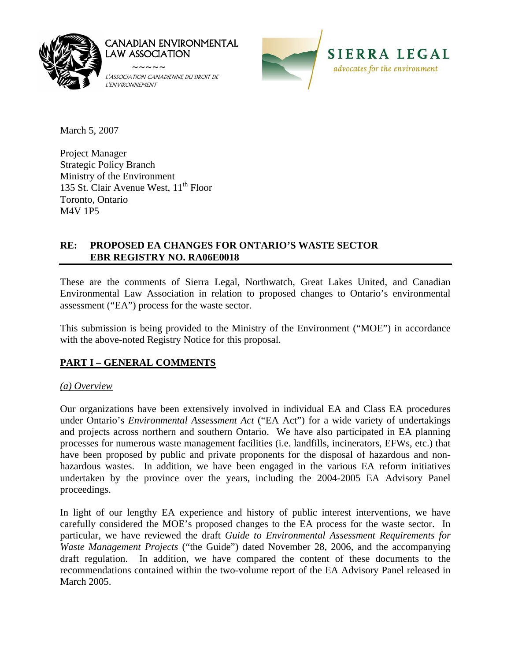

CANADIAN ENVIRONMENTAL LAW ASSOCIATION

 ~~~~~ L'ASSOCIATION CANADIENNE DU DROIT DE L'ENVIRONNEMENT



March 5, 2007

Project Manager Strategic Policy Branch Ministry of the Environment 135 St. Clair Avenue West, 11<sup>th</sup> Floor Toronto, Ontario M4V 1P5

# **RE: PROPOSED EA CHANGES FOR ONTARIO'S WASTE SECTOR EBR REGISTRY NO. RA06E0018**

These are the comments of Sierra Legal, Northwatch, Great Lakes United, and Canadian Environmental Law Association in relation to proposed changes to Ontario's environmental assessment ("EA") process for the waste sector.

This submission is being provided to the Ministry of the Environment ("MOE") in accordance with the above-noted Registry Notice for this proposal.

# **PART I – GENERAL COMMENTS**

# *(a) Overview*

Our organizations have been extensively involved in individual EA and Class EA procedures under Ontario's *Environmental Assessment Act* ("EA Act") for a wide variety of undertakings and projects across northern and southern Ontario. We have also participated in EA planning processes for numerous waste management facilities (i.e. landfills, incinerators, EFWs, etc.) that have been proposed by public and private proponents for the disposal of hazardous and nonhazardous wastes. In addition, we have been engaged in the various EA reform initiatives undertaken by the province over the years, including the 2004-2005 EA Advisory Panel proceedings.

In light of our lengthy EA experience and history of public interest interventions, we have carefully considered the MOE's proposed changes to the EA process for the waste sector. In particular, we have reviewed the draft *Guide to Environmental Assessment Requirements for Waste Management Projects* ("the Guide") dated November 28, 2006, and the accompanying draft regulation. In addition, we have compared the content of these documents to the recommendations contained within the two-volume report of the EA Advisory Panel released in March 2005.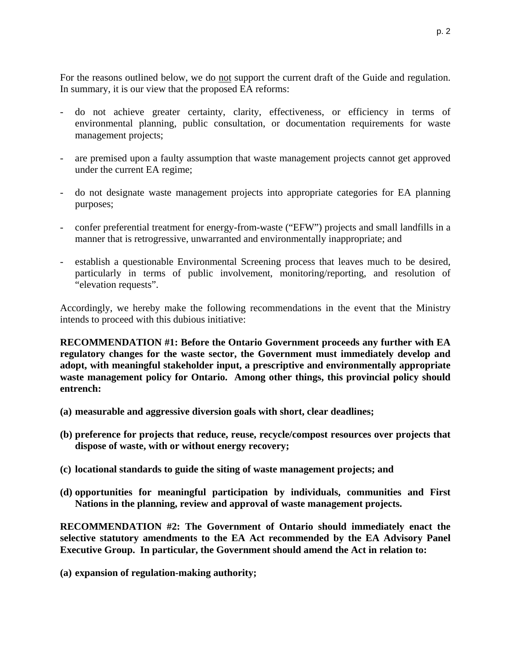For the reasons outlined below, we do not support the current draft of the Guide and regulation. In summary, it is our view that the proposed EA reforms:

- do not achieve greater certainty, clarity, effectiveness, or efficiency in terms of environmental planning, public consultation, or documentation requirements for waste management projects;
- are premised upon a faulty assumption that waste management projects cannot get approved under the current EA regime;
- do not designate waste management projects into appropriate categories for EA planning purposes;
- confer preferential treatment for energy-from-waste ("EFW") projects and small landfills in a manner that is retrogressive, unwarranted and environmentally inappropriate; and
- establish a questionable Environmental Screening process that leaves much to be desired, particularly in terms of public involvement, monitoring/reporting, and resolution of "elevation requests".

Accordingly, we hereby make the following recommendations in the event that the Ministry intends to proceed with this dubious initiative:

**RECOMMENDATION #1: Before the Ontario Government proceeds any further with EA regulatory changes for the waste sector, the Government must immediately develop and adopt, with meaningful stakeholder input, a prescriptive and environmentally appropriate waste management policy for Ontario. Among other things, this provincial policy should entrench:** 

- **(a) measurable and aggressive diversion goals with short, clear deadlines;**
- **(b) preference for projects that reduce, reuse, recycle/compost resources over projects that dispose of waste, with or without energy recovery;**
- **(c) locational standards to guide the siting of waste management projects; and**
- **(d) opportunities for meaningful participation by individuals, communities and First Nations in the planning, review and approval of waste management projects.**

**RECOMMENDATION #2: The Government of Ontario should immediately enact the selective statutory amendments to the EA Act recommended by the EA Advisory Panel Executive Group. In particular, the Government should amend the Act in relation to:** 

**(a) expansion of regulation-making authority;**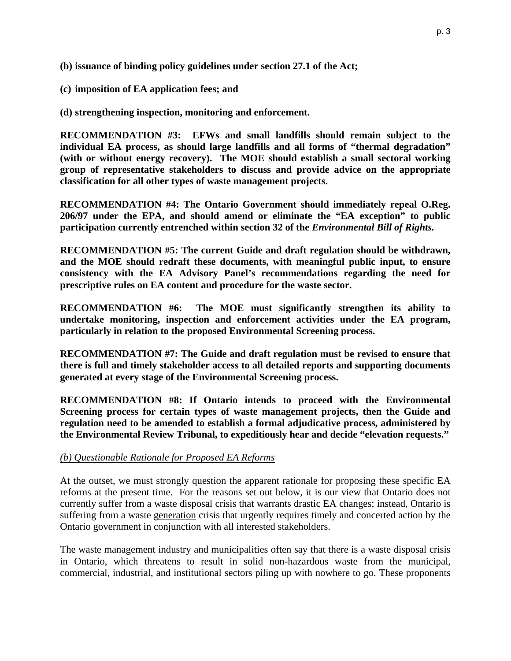- **(b) issuance of binding policy guidelines under section 27.1 of the Act;**
- **(c) imposition of EA application fees; and**

**(d) strengthening inspection, monitoring and enforcement.** 

**RECOMMENDATION #3: EFWs and small landfills should remain subject to the individual EA process, as should large landfills and all forms of "thermal degradation" (with or without energy recovery). The MOE should establish a small sectoral working group of representative stakeholders to discuss and provide advice on the appropriate classification for all other types of waste management projects.**

**RECOMMENDATION #4: The Ontario Government should immediately repeal O.Reg. 206/97 under the EPA, and should amend or eliminate the "EA exception" to public participation currently entrenched within section 32 of the** *Environmental Bill of Rights.*

**RECOMMENDATION #5: The current Guide and draft regulation should be withdrawn, and the MOE should redraft these documents, with meaningful public input, to ensure consistency with the EA Advisory Panel's recommendations regarding the need for prescriptive rules on EA content and procedure for the waste sector.** 

**RECOMMENDATION #6: The MOE must significantly strengthen its ability to undertake monitoring, inspection and enforcement activities under the EA program, particularly in relation to the proposed Environmental Screening process.** 

**RECOMMENDATION #7: The Guide and draft regulation must be revised to ensure that there is full and timely stakeholder access to all detailed reports and supporting documents generated at every stage of the Environmental Screening process.** 

**RECOMMENDATION #8: If Ontario intends to proceed with the Environmental Screening process for certain types of waste management projects, then the Guide and regulation need to be amended to establish a formal adjudicative process, administered by the Environmental Review Tribunal, to expeditiously hear and decide "elevation requests."** 

#### *(b) Questionable Rationale for Proposed EA Reforms*

At the outset, we must strongly question the apparent rationale for proposing these specific EA reforms at the present time. For the reasons set out below, it is our view that Ontario does not currently suffer from a waste disposal crisis that warrants drastic EA changes; instead, Ontario is suffering from a waste generation crisis that urgently requires timely and concerted action by the Ontario government in conjunction with all interested stakeholders.

The waste management industry and municipalities often say that there is a waste disposal crisis in Ontario, which threatens to result in solid non-hazardous waste from the municipal, commercial, industrial, and institutional sectors piling up with nowhere to go. These proponents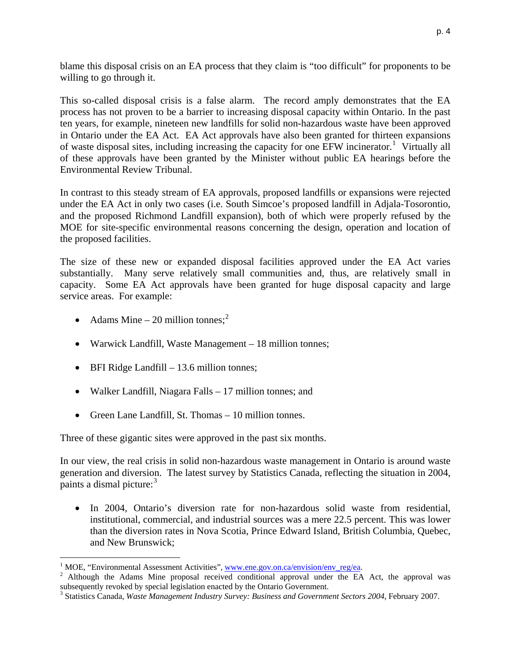blame this disposal crisis on an EA process that they claim is "too difficult" for proponents to be willing to go through it.

This so-called disposal crisis is a false alarm. The record amply demonstrates that the EA process has not proven to be a barrier to increasing disposal capacity within Ontario. In the past ten years, for example, nineteen new landfills for solid non-hazardous waste have been approved in Ontario under the EA Act. EA Act approvals have also been granted for thirteen expansions of waste disposal sites, including increasing the capacity for one EFW incinerator.<sup>[1](#page-3-0)</sup> Virtually all of these approvals have been granted by the Minister without public EA hearings before the Environmental Review Tribunal.

In contrast to this steady stream of EA approvals, proposed landfills or expansions were rejected under the EA Act in only two cases (i.e. South Simcoe's proposed landfill in Adjala-Tosorontio, and the proposed Richmond Landfill expansion), both of which were properly refused by the MOE for site-specific environmental reasons concerning the design, operation and location of the proposed facilities.

The size of these new or expanded disposal facilities approved under the EA Act varies substantially. Many serve relatively small communities and, thus, are relatively small in capacity. Some EA Act approvals have been granted for huge disposal capacity and large service areas. For example:

• Adams Mine – [2](#page-3-1)0 million tonnes;<sup>2</sup>

 $\overline{a}$ 

- Warwick Landfill, Waste Management 18 million tonnes;
- BFI Ridge Landfill 13.6 million tonnes;
- Walker Landfill, Niagara Falls 17 million tonnes; and
- Green Lane Landfill, St. Thomas 10 million tonnes.

Three of these gigantic sites were approved in the past six months.

In our view, the real crisis in solid non-hazardous waste management in Ontario is around waste generation and diversion. The latest survey by Statistics Canada, reflecting the situation in 2004, paints a dismal picture:<sup>[3](#page-3-2)</sup>

• In 2004, Ontario's diversion rate for non-hazardous solid waste from residential, institutional, commercial, and industrial sources was a mere 22.5 percent. This was lower than the diversion rates in Nova Scotia, Prince Edward Island, British Columbia, Quebec, and New Brunswick;

<sup>&</sup>lt;sup>1</sup> MOE, "Environmental Assessment Activities", www.ene.gov.on.ca/envision/env reg/ea.

<span id="page-3-1"></span><span id="page-3-0"></span><sup>&</sup>lt;sup>1</sup> MOE, "Environmental Assessment Activities", <u>www.ene.gov.on.ca/envision/env\_reg/ea</u>. <br><sup>2</sup> Although the Adams Mine proposal received conditional approval under the EA Act, the approval was subsequently revoked by special legislation enacted by the Ontario Government.

<span id="page-3-2"></span><sup>3</sup> Statistics Canada, *Waste Management Industry Survey: Business and Government Sectors 2004*, February 2007.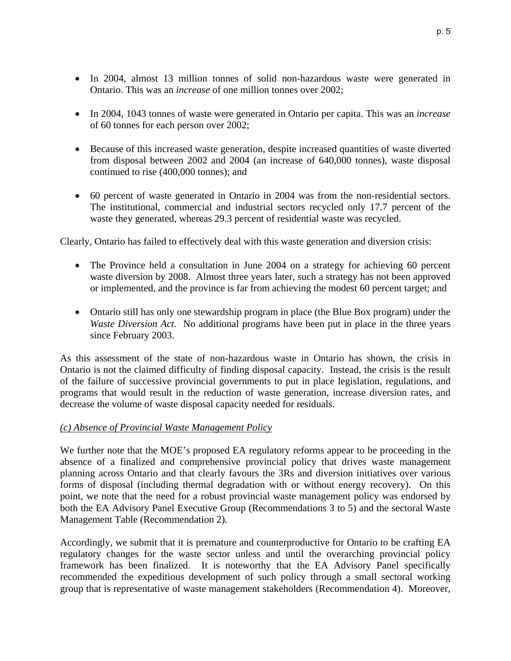- In 2004, 1043 tonnes of waste were generated in Ontario per capita. This was an *increase* of 60 tonnes for each person over 2002;
- Because of this increased waste generation, despite increased quantities of waste diverted from disposal between 2002 and 2004 (an increase of 640,000 tonnes), waste disposal continued to rise (400,000 tonnes); and
- 60 percent of waste generated in Ontario in 2004 was from the non-residential sectors. The institutional, commercial and industrial sectors recycled only 17.7 percent of the waste they generated, whereas 29.3 percent of residential waste was recycled.

Clearly, Ontario has failed to effectively deal with this waste generation and diversion crisis:

- The Province held a consultation in June 2004 on a strategy for achieving 60 percent waste diversion by 2008. Almost three years later, such a strategy has not been approved or implemented, and the province is far from achieving the modest 60 percent target; and
- Ontario still has only one stewardship program in place (the Blue Box program) under the *Waste Diversion Act*. No additional programs have been put in place in the three years since February 2003.

As this assessment of the state of non-hazardous waste in Ontario has shown, the crisis in Ontario is not the claimed difficulty of finding disposal capacity. Instead, the crisis is the result of the failure of successive provincial governments to put in place legislation, regulations, and programs that would result in the reduction of waste generation, increase diversion rates, and decrease the volume of waste disposal capacity needed for residuals.

# *(c) Absence of Provincial Waste Management Policy*

We further note that the MOE's proposed EA regulatory reforms appear to be proceeding in the absence of a finalized and comprehensive provincial policy that drives waste management planning across Ontario and that clearly favours the 3Rs and diversion initiatives over various forms of disposal (including thermal degradation with or without energy recovery). On this point, we note that the need for a robust provincial waste management policy was endorsed by both the EA Advisory Panel Executive Group (Recommendations 3 to 5) and the sectoral Waste Management Table (Recommendation 2).

Accordingly, we submit that it is premature and counterproductive for Ontario to be crafting EA regulatory changes for the waste sector unless and until the overarching provincial policy framework has been finalized. It is noteworthy that the EA Advisory Panel specifically recommended the expeditious development of such policy through a small sectoral working group that is representative of waste management stakeholders (Recommendation 4). Moreover,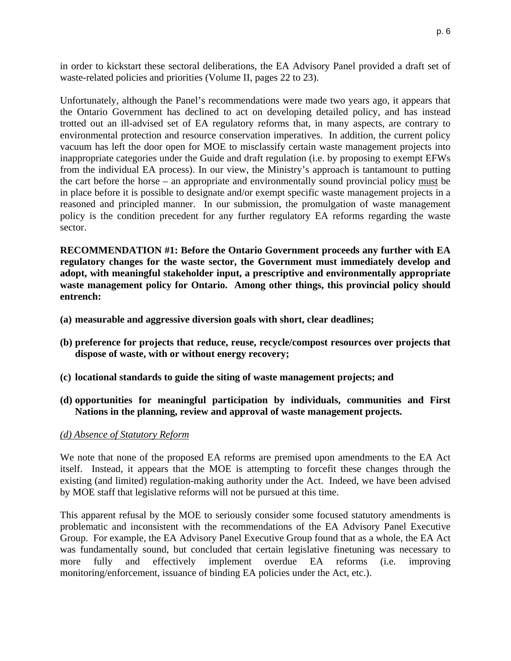in order to kickstart these sectoral deliberations, the EA Advisory Panel provided a draft set of waste-related policies and priorities (Volume II, pages 22 to 23).

Unfortunately, although the Panel's recommendations were made two years ago, it appears that the Ontario Government has declined to act on developing detailed policy, and has instead trotted out an ill-advised set of EA regulatory reforms that, in many aspects, are contrary to environmental protection and resource conservation imperatives. In addition, the current policy vacuum has left the door open for MOE to misclassify certain waste management projects into inappropriate categories under the Guide and draft regulation (i.e. by proposing to exempt EFWs from the individual EA process). In our view, the Ministry's approach is tantamount to putting the cart before the horse – an appropriate and environmentally sound provincial policy must be in place before it is possible to designate and/or exempt specific waste management projects in a reasoned and principled manner. In our submission, the promulgation of waste management policy is the condition precedent for any further regulatory EA reforms regarding the waste sector.

**RECOMMENDATION #1: Before the Ontario Government proceeds any further with EA regulatory changes for the waste sector, the Government must immediately develop and adopt, with meaningful stakeholder input, a prescriptive and environmentally appropriate waste management policy for Ontario. Among other things, this provincial policy should entrench:** 

- **(a) measurable and aggressive diversion goals with short, clear deadlines;**
- **(b) preference for projects that reduce, reuse, recycle/compost resources over projects that dispose of waste, with or without energy recovery;**
- **(c) locational standards to guide the siting of waste management projects; and**
- **(d) opportunities for meaningful participation by individuals, communities and First Nations in the planning, review and approval of waste management projects.**

#### *(d) Absence of Statutory Reform*

We note that none of the proposed EA reforms are premised upon amendments to the EA Act itself. Instead, it appears that the MOE is attempting to forcefit these changes through the existing (and limited) regulation-making authority under the Act. Indeed, we have been advised by MOE staff that legislative reforms will not be pursued at this time.

This apparent refusal by the MOE to seriously consider some focused statutory amendments is problematic and inconsistent with the recommendations of the EA Advisory Panel Executive Group. For example, the EA Advisory Panel Executive Group found that as a whole, the EA Act was fundamentally sound, but concluded that certain legislative finetuning was necessary to more fully and effectively implement overdue EA reforms (i.e. improving monitoring/enforcement, issuance of binding EA policies under the Act, etc.).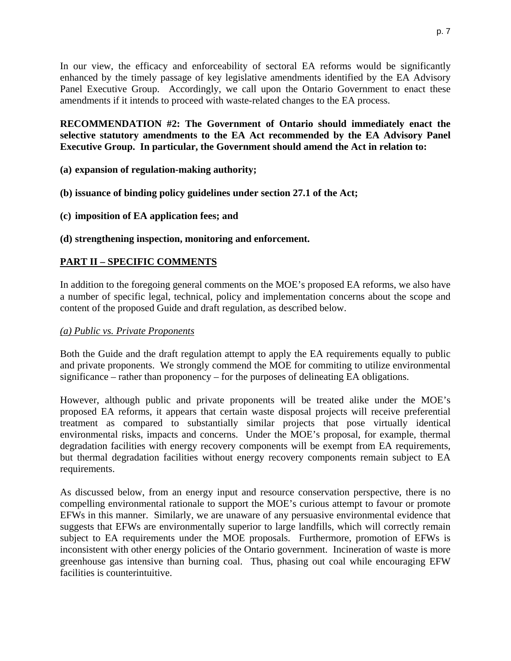In our view, the efficacy and enforceability of sectoral EA reforms would be significantly enhanced by the timely passage of key legislative amendments identified by the EA Advisory Panel Executive Group. Accordingly, we call upon the Ontario Government to enact these amendments if it intends to proceed with waste-related changes to the EA process.

**RECOMMENDATION #2: The Government of Ontario should immediately enact the selective statutory amendments to the EA Act recommended by the EA Advisory Panel Executive Group. In particular, the Government should amend the Act in relation to:** 

**(a) expansion of regulation-making authority;** 

- **(b) issuance of binding policy guidelines under section 27.1 of the Act;**
- **(c) imposition of EA application fees; and**
- **(d) strengthening inspection, monitoring and enforcement.**

# **PART II – SPECIFIC COMMENTS**

In addition to the foregoing general comments on the MOE's proposed EA reforms, we also have a number of specific legal, technical, policy and implementation concerns about the scope and content of the proposed Guide and draft regulation, as described below.

### *(a) Public vs. Private Proponents*

Both the Guide and the draft regulation attempt to apply the EA requirements equally to public and private proponents. We strongly commend the MOE for commiting to utilize environmental significance – rather than proponency – for the purposes of delineating EA obligations.

However, although public and private proponents will be treated alike under the MOE's proposed EA reforms, it appears that certain waste disposal projects will receive preferential treatment as compared to substantially similar projects that pose virtually identical environmental risks, impacts and concerns. Under the MOE's proposal, for example, thermal degradation facilities with energy recovery components will be exempt from EA requirements, but thermal degradation facilities without energy recovery components remain subject to EA requirements.

As discussed below, from an energy input and resource conservation perspective, there is no compelling environmental rationale to support the MOE's curious attempt to favour or promote EFWs in this manner. Similarly, we are unaware of any persuasive environmental evidence that suggests that EFWs are environmentally superior to large landfills, which will correctly remain subject to EA requirements under the MOE proposals. Furthermore, promotion of EFWs is inconsistent with other energy policies of the Ontario government. Incineration of waste is more greenhouse gas intensive than burning coal. Thus, phasing out coal while encouraging EFW facilities is counterintuitive.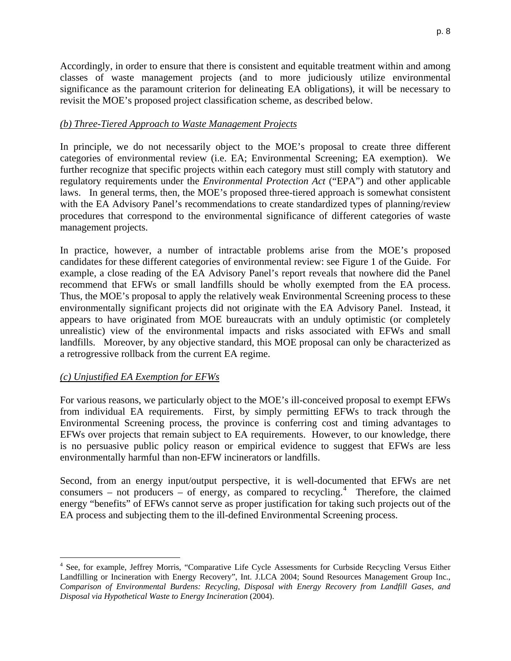Accordingly, in order to ensure that there is consistent and equitable treatment within and among classes of waste management projects (and to more judiciously utilize environmental significance as the paramount criterion for delineating EA obligations), it will be necessary to revisit the MOE's proposed project classification scheme, as described below.

#### *(b) Three-Tiered Approach to Waste Management Projects*

In principle, we do not necessarily object to the MOE's proposal to create three different categories of environmental review (i.e. EA; Environmental Screening; EA exemption). We further recognize that specific projects within each category must still comply with statutory and regulatory requirements under the *Environmental Protection Act* ("EPA") and other applicable laws. In general terms, then, the MOE's proposed three-tiered approach is somewhat consistent with the EA Advisory Panel's recommendations to create standardized types of planning/review procedures that correspond to the environmental significance of different categories of waste management projects.

In practice, however, a number of intractable problems arise from the MOE's proposed candidates for these different categories of environmental review: see Figure 1 of the Guide. For example, a close reading of the EA Advisory Panel's report reveals that nowhere did the Panel recommend that EFWs or small landfills should be wholly exempted from the EA process. Thus, the MOE's proposal to apply the relatively weak Environmental Screening process to these environmentally significant projects did not originate with the EA Advisory Panel. Instead, it appears to have originated from MOE bureaucrats with an unduly optimistic (or completely unrealistic) view of the environmental impacts and risks associated with EFWs and small landfills. Moreover, by any objective standard, this MOE proposal can only be characterized as a retrogressive rollback from the current EA regime.

#### *(c) Unjustified EA Exemption for EFWs*

 $\overline{a}$ 

For various reasons, we particularly object to the MOE's ill-conceived proposal to exempt EFWs from individual EA requirements. First, by simply permitting EFWs to track through the Environmental Screening process, the province is conferring cost and timing advantages to EFWs over projects that remain subject to EA requirements. However, to our knowledge, there is no persuasive public policy reason or empirical evidence to suggest that EFWs are less environmentally harmful than non-EFW incinerators or landfills.

Second, from an energy input/output perspective, it is well-documented that EFWs are net  $\text{consumers}$  – not producers – of energy, as compared to recycling.<sup>[4](#page-7-0)</sup> Therefore, the claimed energy "benefits" of EFWs cannot serve as proper justification for taking such projects out of the EA process and subjecting them to the ill-defined Environmental Screening process.

<span id="page-7-0"></span><sup>&</sup>lt;sup>4</sup> See, for example, Jeffrey Morris, "Comparative Life Cycle Assessments for Curbside Recycling Versus Either Landfilling or Incineration with Energy Recovery", Int. J.LCA 2004; Sound Resources Management Group Inc., *Comparison of Environmental Burdens: Recycling, Disposal with Energy Recovery from Landfill Gases, and Disposal via Hypothetical Waste to Energy Incineration* (2004).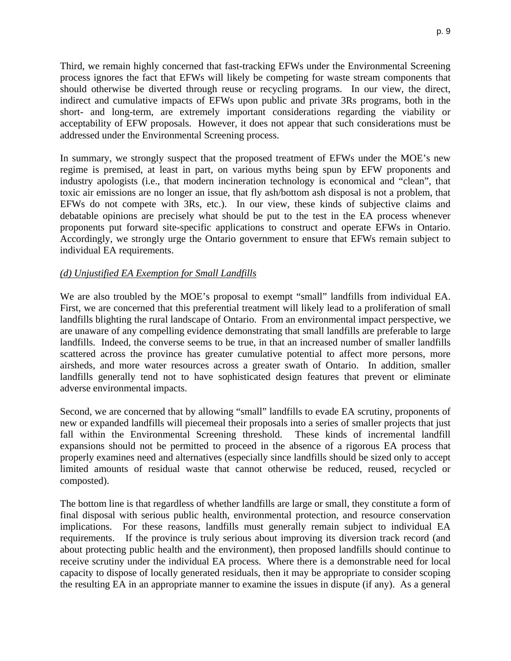Third, we remain highly concerned that fast-tracking EFWs under the Environmental Screening process ignores the fact that EFWs will likely be competing for waste stream components that should otherwise be diverted through reuse or recycling programs. In our view, the direct, indirect and cumulative impacts of EFWs upon public and private 3Rs programs, both in the short- and long-term, are extremely important considerations regarding the viability or acceptability of EFW proposals. However, it does not appear that such considerations must be addressed under the Environmental Screening process.

In summary, we strongly suspect that the proposed treatment of EFWs under the MOE's new regime is premised, at least in part, on various myths being spun by EFW proponents and industry apologists (i.e., that modern incineration technology is economical and "clean", that toxic air emissions are no longer an issue, that fly ash/bottom ash disposal is not a problem, that EFWs do not compete with 3Rs, etc.). In our view, these kinds of subjective claims and debatable opinions are precisely what should be put to the test in the EA process whenever proponents put forward site-specific applications to construct and operate EFWs in Ontario. Accordingly, we strongly urge the Ontario government to ensure that EFWs remain subject to individual EA requirements.

### *(d) Unjustified EA Exemption for Small Landfills*

We are also troubled by the MOE's proposal to exempt "small" landfills from individual EA. First, we are concerned that this preferential treatment will likely lead to a proliferation of small landfills blighting the rural landscape of Ontario. From an environmental impact perspective, we are unaware of any compelling evidence demonstrating that small landfills are preferable to large landfills. Indeed, the converse seems to be true, in that an increased number of smaller landfills scattered across the province has greater cumulative potential to affect more persons, more airsheds, and more water resources across a greater swath of Ontario. In addition, smaller landfills generally tend not to have sophisticated design features that prevent or eliminate adverse environmental impacts.

Second, we are concerned that by allowing "small" landfills to evade EA scrutiny, proponents of new or expanded landfills will piecemeal their proposals into a series of smaller projects that just fall within the Environmental Screening threshold. These kinds of incremental landfill expansions should not be permitted to proceed in the absence of a rigorous EA process that properly examines need and alternatives (especially since landfills should be sized only to accept limited amounts of residual waste that cannot otherwise be reduced, reused, recycled or composted).

The bottom line is that regardless of whether landfills are large or small, they constitute a form of final disposal with serious public health, environmental protection, and resource conservation implications. For these reasons, landfills must generally remain subject to individual EA requirements. If the province is truly serious about improving its diversion track record (and about protecting public health and the environment), then proposed landfills should continue to receive scrutiny under the individual EA process. Where there is a demonstrable need for local capacity to dispose of locally generated residuals, then it may be appropriate to consider scoping the resulting EA in an appropriate manner to examine the issues in dispute (if any). As a general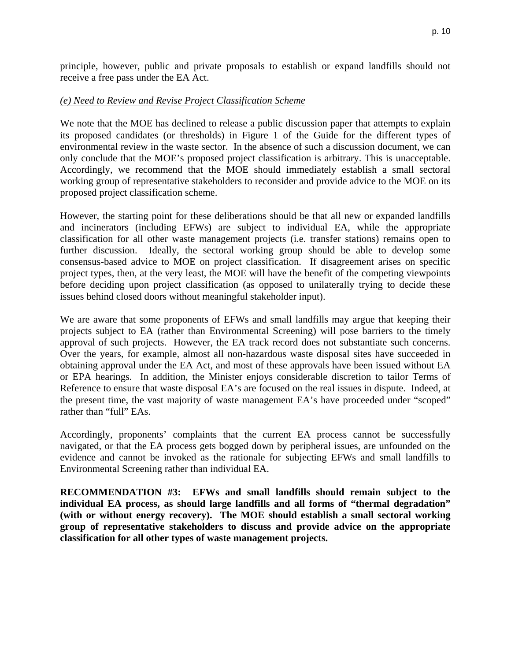principle, however, public and private proposals to establish or expand landfills should not receive a free pass under the EA Act.

### *(e) Need to Review and Revise Project Classification Scheme*

We note that the MOE has declined to release a public discussion paper that attempts to explain its proposed candidates (or thresholds) in Figure 1 of the Guide for the different types of environmental review in the waste sector. In the absence of such a discussion document, we can only conclude that the MOE's proposed project classification is arbitrary. This is unacceptable. Accordingly, we recommend that the MOE should immediately establish a small sectoral working group of representative stakeholders to reconsider and provide advice to the MOE on its proposed project classification scheme.

However, the starting point for these deliberations should be that all new or expanded landfills and incinerators (including EFWs) are subject to individual EA, while the appropriate classification for all other waste management projects (i.e. transfer stations) remains open to further discussion. Ideally, the sectoral working group should be able to develop some consensus-based advice to MOE on project classification. If disagreement arises on specific project types, then, at the very least, the MOE will have the benefit of the competing viewpoints before deciding upon project classification (as opposed to unilaterally trying to decide these issues behind closed doors without meaningful stakeholder input).

We are aware that some proponents of EFWs and small landfills may argue that keeping their projects subject to EA (rather than Environmental Screening) will pose barriers to the timely approval of such projects. However, the EA track record does not substantiate such concerns. Over the years, for example, almost all non-hazardous waste disposal sites have succeeded in obtaining approval under the EA Act, and most of these approvals have been issued without EA or EPA hearings. In addition, the Minister enjoys considerable discretion to tailor Terms of Reference to ensure that waste disposal EA's are focused on the real issues in dispute. Indeed, at the present time, the vast majority of waste management EA's have proceeded under "scoped" rather than "full" EAs.

Accordingly, proponents' complaints that the current EA process cannot be successfully navigated, or that the EA process gets bogged down by peripheral issues, are unfounded on the evidence and cannot be invoked as the rationale for subjecting EFWs and small landfills to Environmental Screening rather than individual EA.

**RECOMMENDATION #3: EFWs and small landfills should remain subject to the individual EA process, as should large landfills and all forms of "thermal degradation" (with or without energy recovery). The MOE should establish a small sectoral working group of representative stakeholders to discuss and provide advice on the appropriate classification for all other types of waste management projects.**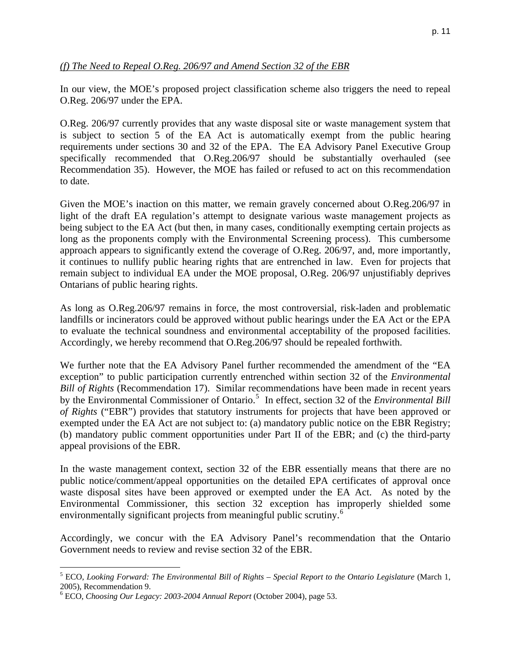### *(f) The Need to Repeal O.Reg. 206/97 and Amend Section 32 of the EBR*

In our view, the MOE's proposed project classification scheme also triggers the need to repeal O.Reg. 206/97 under the EPA.

O.Reg. 206/97 currently provides that any waste disposal site or waste management system that is subject to section 5 of the EA Act is automatically exempt from the public hearing requirements under sections 30 and 32 of the EPA. The EA Advisory Panel Executive Group specifically recommended that O.Reg.206/97 should be substantially overhauled (see Recommendation 35). However, the MOE has failed or refused to act on this recommendation to date.

Given the MOE's inaction on this matter, we remain gravely concerned about O.Reg.206/97 in light of the draft EA regulation's attempt to designate various waste management projects as being subject to the EA Act (but then, in many cases, conditionally exempting certain projects as long as the proponents comply with the Environmental Screening process). This cumbersome approach appears to significantly extend the coverage of O.Reg. 206/97, and, more importantly, it continues to nullify public hearing rights that are entrenched in law. Even for projects that remain subject to individual EA under the MOE proposal, O.Reg. 206/97 unjustifiably deprives Ontarians of public hearing rights.

As long as O.Reg.206/97 remains in force, the most controversial, risk-laden and problematic landfills or incinerators could be approved without public hearings under the EA Act or the EPA to evaluate the technical soundness and environmental acceptability of the proposed facilities. Accordingly, we hereby recommend that O.Reg.206/97 should be repealed forthwith.

We further note that the EA Advisory Panel further recommended the amendment of the "EA exception" to public participation currently entrenched within section 32 of the *Environmental Bill of Rights* (Recommendation 17). Similar recommendations have been made in recent years by the Environmental Commissioner of Ontario.<sup>[5](#page-10-0)</sup> In effect, section 32 of the *Environmental Bill of Rights* ("EBR") provides that statutory instruments for projects that have been approved or exempted under the EA Act are not subject to: (a) mandatory public notice on the EBR Registry; (b) mandatory public comment opportunities under Part II of the EBR; and (c) the third-party appeal provisions of the EBR.

In the waste management context, section 32 of the EBR essentially means that there are no public notice/comment/appeal opportunities on the detailed EPA certificates of approval once waste disposal sites have been approved or exempted under the EA Act. As noted by the Environmental Commissioner, this section 32 exception has improperly shielded some environmentally significant projects from meaningful public scrutiny.<sup>[6](#page-10-1)</sup>

Accordingly, we concur with the EA Advisory Panel's recommendation that the Ontario Government needs to review and revise section 32 of the EBR.

 $\overline{a}$ 

<span id="page-10-0"></span><sup>&</sup>lt;sup>5</sup> ECO, *Looking Forward: The Environmental Bill of Rights – Special Report to the Ontario Legislature (March 1,* 2005), Recommendation 9.

<span id="page-10-1"></span><sup>6</sup> ECO, *Choosing Our Legacy: 2003-2004 Annual Report* (October 2004), page 53.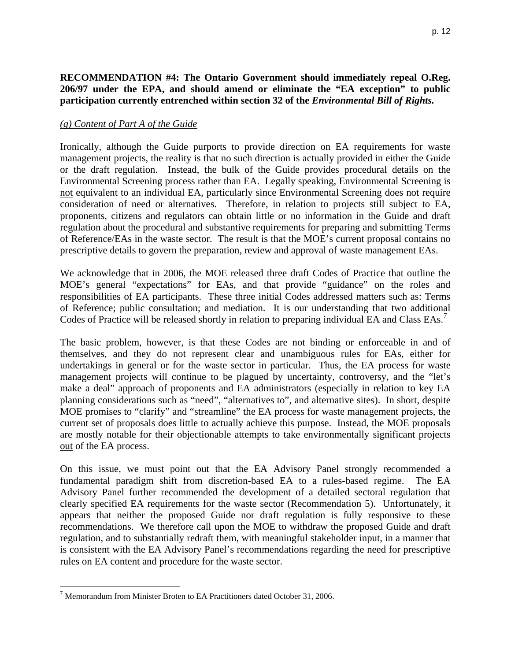# **RECOMMENDATION #4: The Ontario Government should immediately repeal O.Reg. 206/97 under the EPA, and should amend or eliminate the "EA exception" to public participation currently entrenched within section 32 of the** *Environmental Bill of Rights.*

### *(g) Content of Part A of the Guide*

Ironically, although the Guide purports to provide direction on EA requirements for waste management projects, the reality is that no such direction is actually provided in either the Guide or the draft regulation. Instead, the bulk of the Guide provides procedural details on the Environmental Screening process rather than EA. Legally speaking, Environmental Screening is not equivalent to an individual EA, particularly since Environmental Screening does not require consideration of need or alternatives. Therefore, in relation to projects still subject to EA, proponents, citizens and regulators can obtain little or no information in the Guide and draft regulation about the procedural and substantive requirements for preparing and submitting Terms of Reference/EAs in the waste sector. The result is that the MOE's current proposal contains no prescriptive details to govern the preparation, review and approval of waste management EAs.

We acknowledge that in 2006, the MOE released three draft Codes of Practice that outline the MOE's general "expectations" for EAs, and that provide "guidance" on the roles and responsibilities of EA participants. These three initial Codes addressed matters such as: Terms of Reference; public consultation; and mediation. It is our understanding that two additional Codes of Practice will be released shortly in relation to preparing individual EA and Class EAs.<sup>[7](#page-11-0)</sup>

The basic problem, however, is that these Codes are not binding or enforceable in and of themselves, and they do not represent clear and unambiguous rules for EAs, either for undertakings in general or for the waste sector in particular. Thus, the EA process for waste management projects will continue to be plagued by uncertainty, controversy, and the "let's make a deal" approach of proponents and EA administrators (especially in relation to key EA planning considerations such as "need", "alternatives to", and alternative sites). In short, despite MOE promises to "clarify" and "streamline" the EA process for waste management projects, the current set of proposals does little to actually achieve this purpose. Instead, the MOE proposals are mostly notable for their objectionable attempts to take environmentally significant projects out of the EA process.

On this issue, we must point out that the EA Advisory Panel strongly recommended a fundamental paradigm shift from discretion-based EA to a rules-based regime. The EA Advisory Panel further recommended the development of a detailed sectoral regulation that clearly specified EA requirements for the waste sector (Recommendation 5). Unfortunately, it appears that neither the proposed Guide nor draft regulation is fully responsive to these recommendations. We therefore call upon the MOE to withdraw the proposed Guide and draft regulation, and to substantially redraft them, with meaningful stakeholder input, in a manner that is consistent with the EA Advisory Panel's recommendations regarding the need for prescriptive rules on EA content and procedure for the waste sector.

 $\overline{a}$ 

<span id="page-11-0"></span> $7$  Memorandum from Minister Broten to EA Practitioners dated October 31, 2006.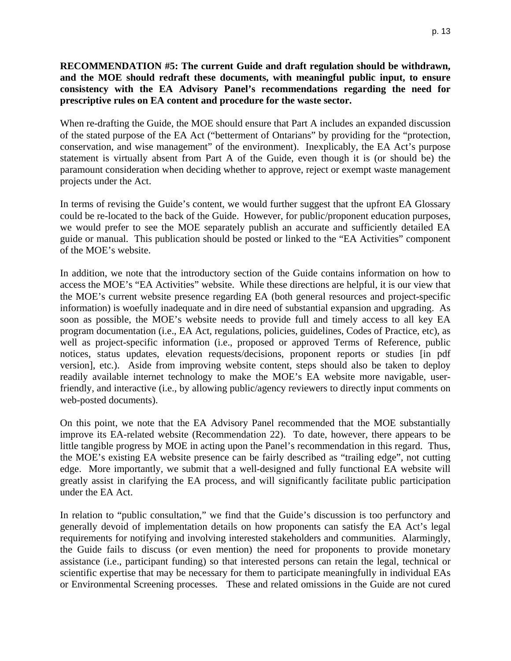# **RECOMMENDATION #5: The current Guide and draft regulation should be withdrawn, and the MOE should redraft these documents, with meaningful public input, to ensure consistency with the EA Advisory Panel's recommendations regarding the need for prescriptive rules on EA content and procedure for the waste sector.**

When re-drafting the Guide, the MOE should ensure that Part A includes an expanded discussion of the stated purpose of the EA Act ("betterment of Ontarians" by providing for the "protection, conservation, and wise management" of the environment). Inexplicably, the EA Act's purpose statement is virtually absent from Part A of the Guide, even though it is (or should be) the paramount consideration when deciding whether to approve, reject or exempt waste management projects under the Act.

In terms of revising the Guide's content, we would further suggest that the upfront EA Glossary could be re-located to the back of the Guide. However, for public/proponent education purposes, we would prefer to see the MOE separately publish an accurate and sufficiently detailed EA guide or manual. This publication should be posted or linked to the "EA Activities" component of the MOE's website.

In addition, we note that the introductory section of the Guide contains information on how to access the MOE's "EA Activities" website. While these directions are helpful, it is our view that the MOE's current website presence regarding EA (both general resources and project-specific information) is woefully inadequate and in dire need of substantial expansion and upgrading. As soon as possible, the MOE's website needs to provide full and timely access to all key EA program documentation (i.e., EA Act, regulations, policies, guidelines, Codes of Practice, etc), as well as project-specific information (i.e., proposed or approved Terms of Reference, public notices, status updates, elevation requests/decisions, proponent reports or studies [in pdf version], etc.). Aside from improving website content, steps should also be taken to deploy readily available internet technology to make the MOE's EA website more navigable, userfriendly, and interactive (i.e., by allowing public/agency reviewers to directly input comments on web-posted documents).

On this point, we note that the EA Advisory Panel recommended that the MOE substantially improve its EA-related website (Recommendation 22). To date, however, there appears to be little tangible progress by MOE in acting upon the Panel's recommendation in this regard. Thus, the MOE's existing EA website presence can be fairly described as "trailing edge", not cutting edge. More importantly, we submit that a well-designed and fully functional EA website will greatly assist in clarifying the EA process, and will significantly facilitate public participation under the EA Act.

In relation to "public consultation," we find that the Guide's discussion is too perfunctory and generally devoid of implementation details on how proponents can satisfy the EA Act's legal requirements for notifying and involving interested stakeholders and communities. Alarmingly, the Guide fails to discuss (or even mention) the need for proponents to provide monetary assistance (i.e., participant funding) so that interested persons can retain the legal, technical or scientific expertise that may be necessary for them to participate meaningfully in individual EAs or Environmental Screening processes. These and related omissions in the Guide are not cured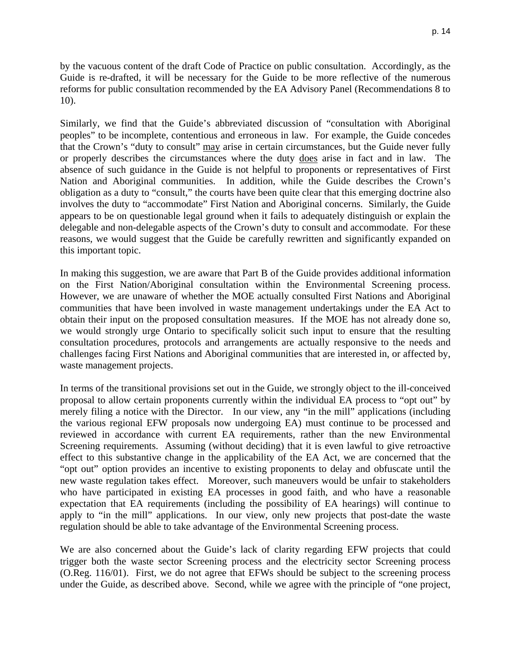by the vacuous content of the draft Code of Practice on public consultation. Accordingly, as the Guide is re-drafted, it will be necessary for the Guide to be more reflective of the numerous reforms for public consultation recommended by the EA Advisory Panel (Recommendations 8 to 10).

Similarly, we find that the Guide's abbreviated discussion of "consultation with Aboriginal peoples" to be incomplete, contentious and erroneous in law. For example, the Guide concedes that the Crown's "duty to consult" may arise in certain circumstances, but the Guide never fully or properly describes the circumstances where the duty does arise in fact and in law. The absence of such guidance in the Guide is not helpful to proponents or representatives of First Nation and Aboriginal communities. In addition, while the Guide describes the Crown's obligation as a duty to "consult," the courts have been quite clear that this emerging doctrine also involves the duty to "accommodate" First Nation and Aboriginal concerns. Similarly, the Guide appears to be on questionable legal ground when it fails to adequately distinguish or explain the delegable and non-delegable aspects of the Crown's duty to consult and accommodate. For these reasons, we would suggest that the Guide be carefully rewritten and significantly expanded on this important topic.

In making this suggestion, we are aware that Part B of the Guide provides additional information on the First Nation/Aboriginal consultation within the Environmental Screening process. However, we are unaware of whether the MOE actually consulted First Nations and Aboriginal communities that have been involved in waste management undertakings under the EA Act to obtain their input on the proposed consultation measures. If the MOE has not already done so, we would strongly urge Ontario to specifically solicit such input to ensure that the resulting consultation procedures, protocols and arrangements are actually responsive to the needs and challenges facing First Nations and Aboriginal communities that are interested in, or affected by, waste management projects.

In terms of the transitional provisions set out in the Guide, we strongly object to the ill-conceived proposal to allow certain proponents currently within the individual EA process to "opt out" by merely filing a notice with the Director. In our view, any "in the mill" applications (including the various regional EFW proposals now undergoing EA) must continue to be processed and reviewed in accordance with current EA requirements, rather than the new Environmental Screening requirements. Assuming (without deciding) that it is even lawful to give retroactive effect to this substantive change in the applicability of the EA Act, we are concerned that the "opt out" option provides an incentive to existing proponents to delay and obfuscate until the new waste regulation takes effect. Moreover, such maneuvers would be unfair to stakeholders who have participated in existing EA processes in good faith, and who have a reasonable expectation that EA requirements (including the possibility of EA hearings) will continue to apply to "in the mill" applications. In our view, only new projects that post-date the waste regulation should be able to take advantage of the Environmental Screening process.

We are also concerned about the Guide's lack of clarity regarding EFW projects that could trigger both the waste sector Screening process and the electricity sector Screening process (O.Reg. 116/01). First, we do not agree that EFWs should be subject to the screening process under the Guide, as described above. Second, while we agree with the principle of "one project,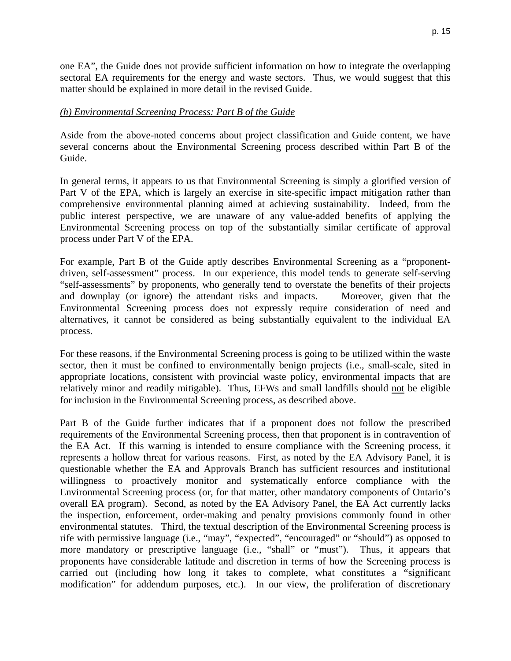p. 15

one EA", the Guide does not provide sufficient information on how to integrate the overlapping sectoral EA requirements for the energy and waste sectors. Thus, we would suggest that this matter should be explained in more detail in the revised Guide.

# *(h) Environmental Screening Process: Part B of the Guide*

Aside from the above-noted concerns about project classification and Guide content, we have several concerns about the Environmental Screening process described within Part B of the Guide.

In general terms, it appears to us that Environmental Screening is simply a glorified version of Part V of the EPA, which is largely an exercise in site-specific impact mitigation rather than comprehensive environmental planning aimed at achieving sustainability. Indeed, from the public interest perspective, we are unaware of any value-added benefits of applying the Environmental Screening process on top of the substantially similar certificate of approval process under Part V of the EPA.

For example, Part B of the Guide aptly describes Environmental Screening as a "proponentdriven, self-assessment" process. In our experience, this model tends to generate self-serving "self-assessments" by proponents, who generally tend to overstate the benefits of their projects and downplay (or ignore) the attendant risks and impacts. Moreover, given that the Environmental Screening process does not expressly require consideration of need and alternatives, it cannot be considered as being substantially equivalent to the individual EA process.

For these reasons, if the Environmental Screening process is going to be utilized within the waste sector, then it must be confined to environmentally benign projects (i.e., small-scale, sited in appropriate locations, consistent with provincial waste policy, environmental impacts that are relatively minor and readily mitigable). Thus, EFWs and small landfills should not be eligible for inclusion in the Environmental Screening process, as described above.

Part B of the Guide further indicates that if a proponent does not follow the prescribed requirements of the Environmental Screening process, then that proponent is in contravention of the EA Act. If this warning is intended to ensure compliance with the Screening process, it represents a hollow threat for various reasons. First, as noted by the EA Advisory Panel, it is questionable whether the EA and Approvals Branch has sufficient resources and institutional willingness to proactively monitor and systematically enforce compliance with the Environmental Screening process (or, for that matter, other mandatory components of Ontario's overall EA program). Second, as noted by the EA Advisory Panel, the EA Act currently lacks the inspection, enforcement, order-making and penalty provisions commonly found in other environmental statutes. Third, the textual description of the Environmental Screening process is rife with permissive language (i.e., "may", "expected", "encouraged" or "should") as opposed to more mandatory or prescriptive language (i.e., "shall" or "must"). Thus, it appears that proponents have considerable latitude and discretion in terms of how the Screening process is carried out (including how long it takes to complete, what constitutes a "significant modification" for addendum purposes, etc.). In our view, the proliferation of discretionary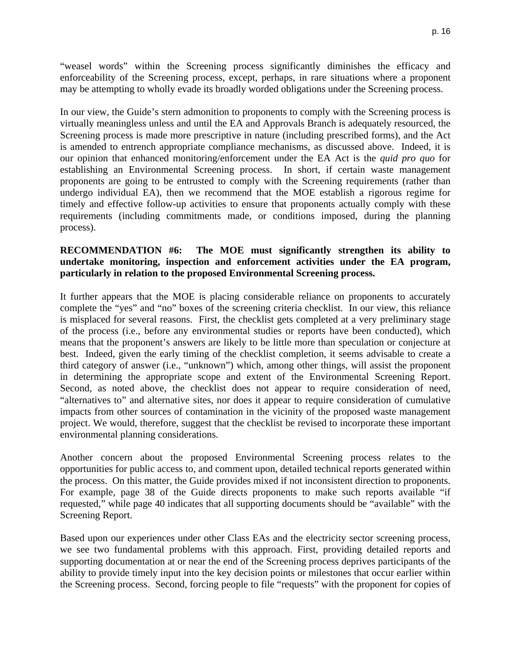"weasel words" within the Screening process significantly diminishes the efficacy and enforceability of the Screening process, except, perhaps, in rare situations where a proponent may be attempting to wholly evade its broadly worded obligations under the Screening process.

In our view, the Guide's stern admonition to proponents to comply with the Screening process is virtually meaningless unless and until the EA and Approvals Branch is adequately resourced, the Screening process is made more prescriptive in nature (including prescribed forms), and the Act is amended to entrench appropriate compliance mechanisms, as discussed above. Indeed, it is our opinion that enhanced monitoring/enforcement under the EA Act is the *quid pro quo* for establishing an Environmental Screening process. In short, if certain waste management proponents are going to be entrusted to comply with the Screening requirements (rather than undergo individual EA), then we recommend that the MOE establish a rigorous regime for timely and effective follow-up activities to ensure that proponents actually comply with these requirements (including commitments made, or conditions imposed, during the planning process).

### **RECOMMENDATION #6: The MOE must significantly strengthen its ability to undertake monitoring, inspection and enforcement activities under the EA program, particularly in relation to the proposed Environmental Screening process.**

It further appears that the MOE is placing considerable reliance on proponents to accurately complete the "yes" and "no" boxes of the screening criteria checklist. In our view, this reliance is misplaced for several reasons. First, the checklist gets completed at a very preliminary stage of the process (i.e., before any environmental studies or reports have been conducted), which means that the proponent's answers are likely to be little more than speculation or conjecture at best. Indeed, given the early timing of the checklist completion, it seems advisable to create a third category of answer (i.e., "unknown") which, among other things, will assist the proponent in determining the appropriate scope and extent of the Environmental Screening Report. Second, as noted above, the checklist does not appear to require consideration of need, "alternatives to" and alternative sites, nor does it appear to require consideration of cumulative impacts from other sources of contamination in the vicinity of the proposed waste management project. We would, therefore, suggest that the checklist be revised to incorporate these important environmental planning considerations.

Another concern about the proposed Environmental Screening process relates to the opportunities for public access to, and comment upon, detailed technical reports generated within the process. On this matter, the Guide provides mixed if not inconsistent direction to proponents. For example, page 38 of the Guide directs proponents to make such reports available "if requested," while page 40 indicates that all supporting documents should be "available" with the Screening Report.

Based upon our experiences under other Class EAs and the electricity sector screening process, we see two fundamental problems with this approach. First, providing detailed reports and supporting documentation at or near the end of the Screening process deprives participants of the ability to provide timely input into the key decision points or milestones that occur earlier within the Screening process. Second, forcing people to file "requests" with the proponent for copies of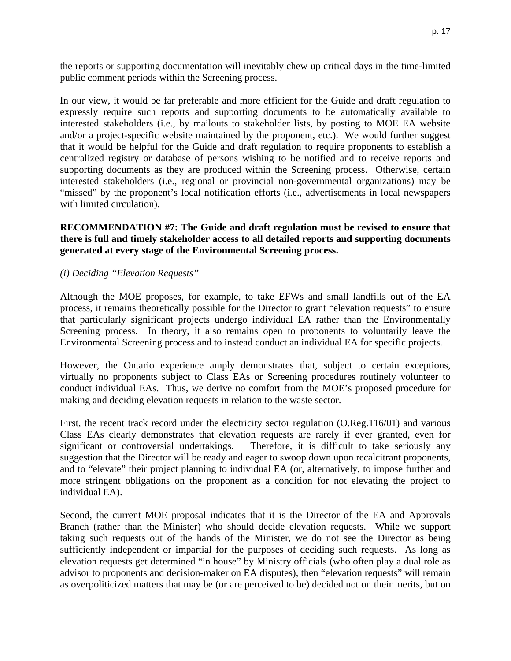the reports or supporting documentation will inevitably chew up critical days in the time-limited public comment periods within the Screening process.

In our view, it would be far preferable and more efficient for the Guide and draft regulation to expressly require such reports and supporting documents to be automatically available to interested stakeholders (i.e., by mailouts to stakeholder lists, by posting to MOE EA website and/or a project-specific website maintained by the proponent, etc.). We would further suggest that it would be helpful for the Guide and draft regulation to require proponents to establish a centralized registry or database of persons wishing to be notified and to receive reports and supporting documents as they are produced within the Screening process. Otherwise, certain interested stakeholders (i.e., regional or provincial non-governmental organizations) may be "missed" by the proponent's local notification efforts (i.e., advertisements in local newspapers with limited circulation).

#### **RECOMMENDATION #7: The Guide and draft regulation must be revised to ensure that there is full and timely stakeholder access to all detailed reports and supporting documents generated at every stage of the Environmental Screening process.**

#### *(i) Deciding "Elevation Requests"*

Although the MOE proposes, for example, to take EFWs and small landfills out of the EA process, it remains theoretically possible for the Director to grant "elevation requests" to ensure that particularly significant projects undergo individual EA rather than the Environmentally Screening process. In theory, it also remains open to proponents to voluntarily leave the Environmental Screening process and to instead conduct an individual EA for specific projects.

However, the Ontario experience amply demonstrates that, subject to certain exceptions, virtually no proponents subject to Class EAs or Screening procedures routinely volunteer to conduct individual EAs. Thus, we derive no comfort from the MOE's proposed procedure for making and deciding elevation requests in relation to the waste sector.

First, the recent track record under the electricity sector regulation (O.Reg.116/01) and various Class EAs clearly demonstrates that elevation requests are rarely if ever granted, even for significant or controversial undertakings. Therefore, it is difficult to take seriously any suggestion that the Director will be ready and eager to swoop down upon recalcitrant proponents, and to "elevate" their project planning to individual EA (or, alternatively, to impose further and more stringent obligations on the proponent as a condition for not elevating the project to individual EA).

Second, the current MOE proposal indicates that it is the Director of the EA and Approvals Branch (rather than the Minister) who should decide elevation requests. While we support taking such requests out of the hands of the Minister, we do not see the Director as being sufficiently independent or impartial for the purposes of deciding such requests. As long as elevation requests get determined "in house" by Ministry officials (who often play a dual role as advisor to proponents and decision-maker on EA disputes), then "elevation requests" will remain as overpoliticized matters that may be (or are perceived to be) decided not on their merits, but on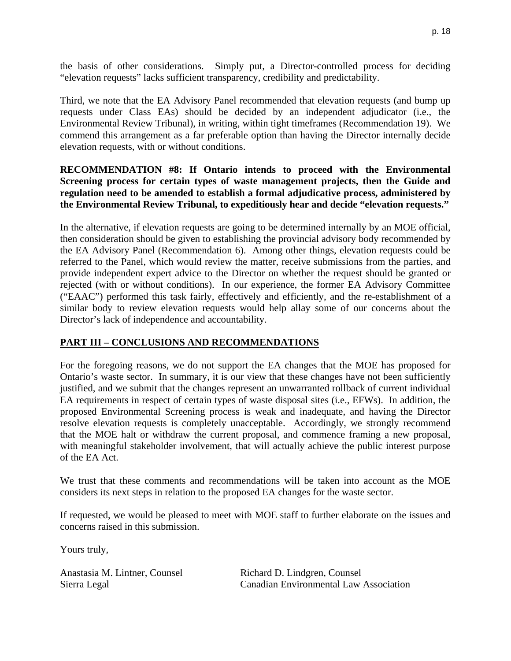the basis of other considerations. Simply put, a Director-controlled process for deciding "elevation requests" lacks sufficient transparency, credibility and predictability.

Third, we note that the EA Advisory Panel recommended that elevation requests (and bump up requests under Class EAs) should be decided by an independent adjudicator (i.e., the Environmental Review Tribunal), in writing, within tight timeframes (Recommendation 19). We commend this arrangement as a far preferable option than having the Director internally decide elevation requests, with or without conditions.

### **RECOMMENDATION #8: If Ontario intends to proceed with the Environmental Screening process for certain types of waste management projects, then the Guide and regulation need to be amended to establish a formal adjudicative process, administered by the Environmental Review Tribunal, to expeditiously hear and decide "elevation requests."**

In the alternative, if elevation requests are going to be determined internally by an MOE official, then consideration should be given to establishing the provincial advisory body recommended by the EA Advisory Panel (Recommendation 6). Among other things, elevation requests could be referred to the Panel, which would review the matter, receive submissions from the parties, and provide independent expert advice to the Director on whether the request should be granted or rejected (with or without conditions). In our experience, the former EA Advisory Committee ("EAAC") performed this task fairly, effectively and efficiently, and the re-establishment of a similar body to review elevation requests would help allay some of our concerns about the Director's lack of independence and accountability.

# **PART III – CONCLUSIONS AND RECOMMENDATIONS**

For the foregoing reasons, we do not support the EA changes that the MOE has proposed for Ontario's waste sector. In summary, it is our view that these changes have not been sufficiently justified, and we submit that the changes represent an unwarranted rollback of current individual EA requirements in respect of certain types of waste disposal sites (i.e., EFWs). In addition, the proposed Environmental Screening process is weak and inadequate, and having the Director resolve elevation requests is completely unacceptable. Accordingly, we strongly recommend that the MOE halt or withdraw the current proposal, and commence framing a new proposal, with meaningful stakeholder involvement, that will actually achieve the public interest purpose of the EA Act.

We trust that these comments and recommendations will be taken into account as the MOE considers its next steps in relation to the proposed EA changes for the waste sector.

If requested, we would be pleased to meet with MOE staff to further elaborate on the issues and concerns raised in this submission.

Yours truly,

Anastasia M. Lintner, Counsel Richard D. Lindgren, Counsel

Sierra Legal Canadian Environmental Law Association